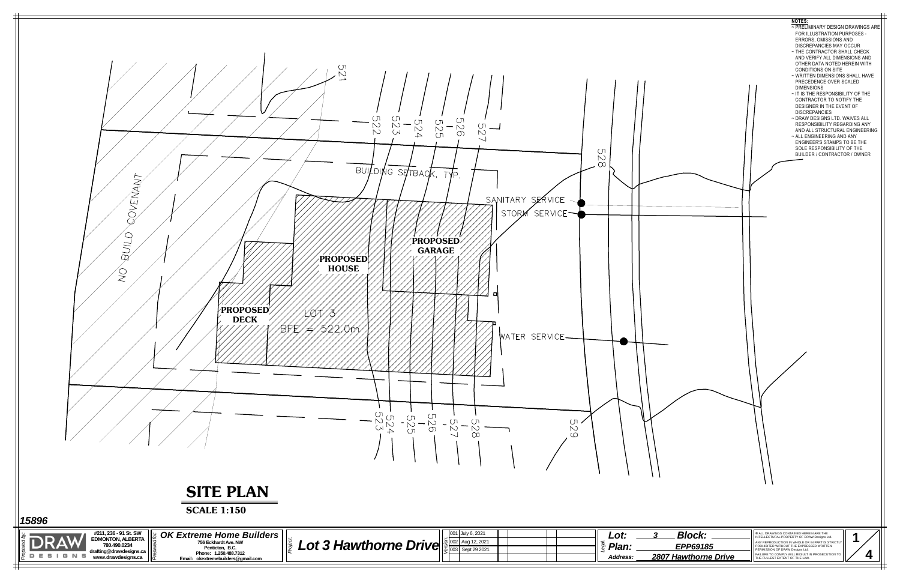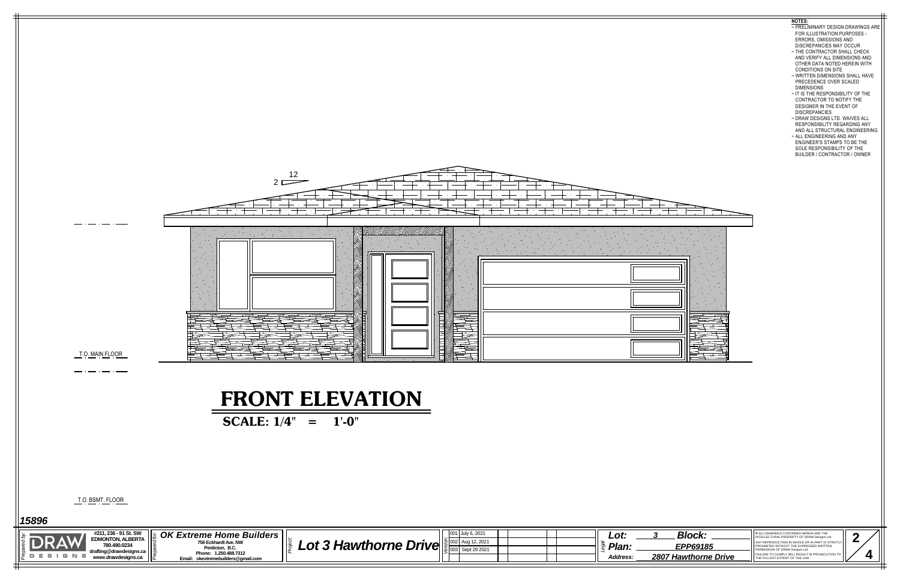|                                                                                                                               | <b>FRONT ELEVATION</b>                                                                                                                                                                                   |                  |                                                                                       |                                                                                                                                                                                                                                                                                                         |
|-------------------------------------------------------------------------------------------------------------------------------|----------------------------------------------------------------------------------------------------------------------------------------------------------------------------------------------------------|------------------|---------------------------------------------------------------------------------------|---------------------------------------------------------------------------------------------------------------------------------------------------------------------------------------------------------------------------------------------------------------------------------------------------------|
|                                                                                                                               | SCALE: $1/4$ "<br>$1'$ -0"<br>$=$ $\,$                                                                                                                                                                   |                  |                                                                                       |                                                                                                                                                                                                                                                                                                         |
|                                                                                                                               |                                                                                                                                                                                                          |                  |                                                                                       |                                                                                                                                                                                                                                                                                                         |
|                                                                                                                               |                                                                                                                                                                                                          |                  |                                                                                       |                                                                                                                                                                                                                                                                                                         |
| <u>T.O. BSMT. FLOOR</u>                                                                                                       |                                                                                                                                                                                                          |                  |                                                                                       |                                                                                                                                                                                                                                                                                                         |
| 15896                                                                                                                         |                                                                                                                                                                                                          |                  |                                                                                       |                                                                                                                                                                                                                                                                                                         |
| #211, 236 - 91 St. SW<br><b>EDMONTON, ALBERTA</b><br>780.490.0234<br>drafting@drawdesigns.ca<br>DESIGNS<br>www.drawdesigns.ca | <b>OK Extreme Home Builders</b><br>Lot 3 Hawthorne Drive $\log_{\frac{1}{8}$ [02] Aug 12, 2021<br>756 Eckhardt Ave. NW<br>Penticton, B.C.<br>Phone: 1.250.488.7312<br>Email: okextremebuilders@gmail.com | 001 July 6, 2021 | <b>Block:</b><br>Lot:<br>Plan:<br>EPP69185<br><b>2807 Hawthorne Drive</b><br>Address: | © ALL DRAWINGS CONTAINED HEREIN ARE THE<br>INTELLECTURAL PROPERTY OF DRAW Designs Ltd<br>ANY REPRODUCTION IN WHOLE OR IN PART IS STRICT<br>PROHIBITED WITHOUT THE EXPRESSED WRITTEN<br>PERMISSION OF DRAW Designs Ltd.<br>FAILURE TO COMPLY WILL RESULT IN PROSECUTIC<br>THE FULLEST EXTENT OF THE LAW. |
|                                                                                                                               |                                                                                                                                                                                                          |                  |                                                                                       |                                                                                                                                                                                                                                                                                                         |



## **NOTES:**

- ~ PRELIMINARY DESIGN DRAWINGS ARE FOR ILLUSTRATION PURPOSES - ERRORS, OMISSIONS AND DISCREPANCIES MAY OCCUR
- ~ THE CONTRACTOR SHALL CHECK AND VERIFY ALL DIMENSIONS AND OTHER DATA NOTED HEREIN WITH CONDITIONS ON SITE
- ~ WRITTEN DIMENSIONS SHALL HAVE PRECEDENCE OVER SCALED DIMENSIONS
- ~ IT IS THE RESPONSIBILITY OF THE CONTRACTOR TO NOTIFY THE DESIGNER IN THE EVENT OF DISCREPANCIES
- ~ DRAW DESIGNS LTD. WAIVES ALL RESPONSIBILITY REGARDING ANY AND ALL STRUCTURAL ENGINEERING
- ~ ALL ENGINEERING AND ANY ENGINEER'S STAMPS TO BE THE SOLE RESPONSIBILITY OF THE BUILDER / CONTRACTOR / OWNER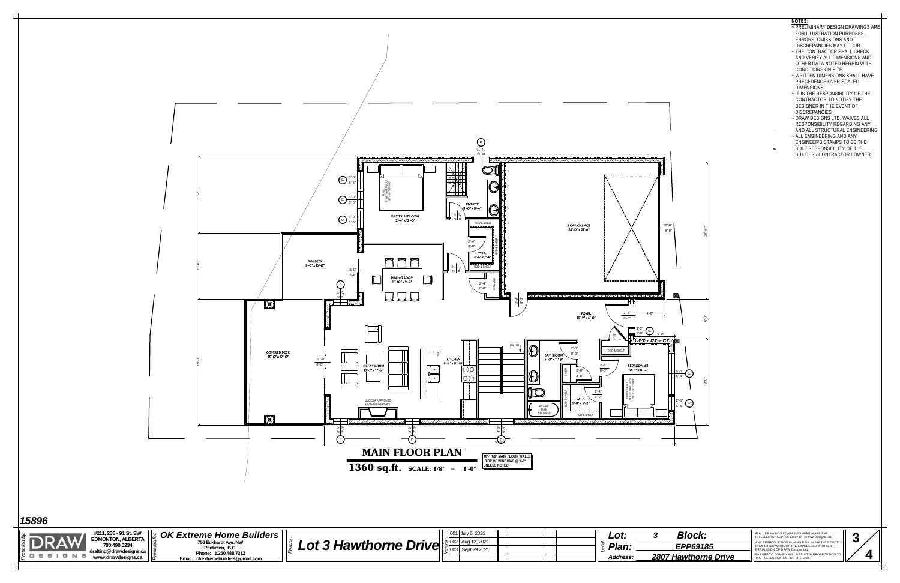| <b>Block:</b>               | C ALL DRAWINGS CONTAINED HEREIN ARE THE<br>INTELLECTURAL PROPERTY OF DRAW Designs Ltd.                                          |  |  |
|-----------------------------|---------------------------------------------------------------------------------------------------------------------------------|--|--|
| <b>EPP69185</b>             | ANY REPRODUCTION IN WHOLE OR IN PART IS STRICTLY<br>PROHIBITED WITHOUT THE EXPRESSED WRITTEN<br>PERMISSION OF DRAW Designs Ltd. |  |  |
| <b>2807 Hawthorne Drive</b> | FAILURE TO COMPLY WILL RESULT IN PROSECUTION TO<br>THE FULLEST EXTENT OF THE LAW.                                               |  |  |
|                             |                                                                                                                                 |  |  |



- ~ PRELIMINARY DESIGN DRAWINGS ARE FOR ILLUSTRATION PURPOSES - ERRORS, OMISSIONS AND DISCREPANCIES MAY OCCUR
- ~ THE CONTRACTOR SHALL CHECK AND VERIFY ALL DIMENSIONS AND OTHER DATA NOTED HEREIN WITH CONDITIONS ON SITE
- ~ WRITTEN DIMENSIONS SHALL HAVE PRECEDENCE OVER SCALED DIMENSIONS
- ~ IT IS THE RESPONSIBILITY OF THE CONTRACTOR TO NOTIFY THE DESIGNER IN THE EVENT OF DISCREPANCIES
- ~ DRAW DESIGNS LTD. WAIVES ALL RESPONSIBILITY REGARDING ANY AND ALL STRUCTURAL ENGINEERING
- ~ ALL ENGINEERING AND ANY ENGINEER'S STAMPS TO BE THE SOLE RESPONSIBILITY OF THE BUILDER / CONTRACTOR / OWNER